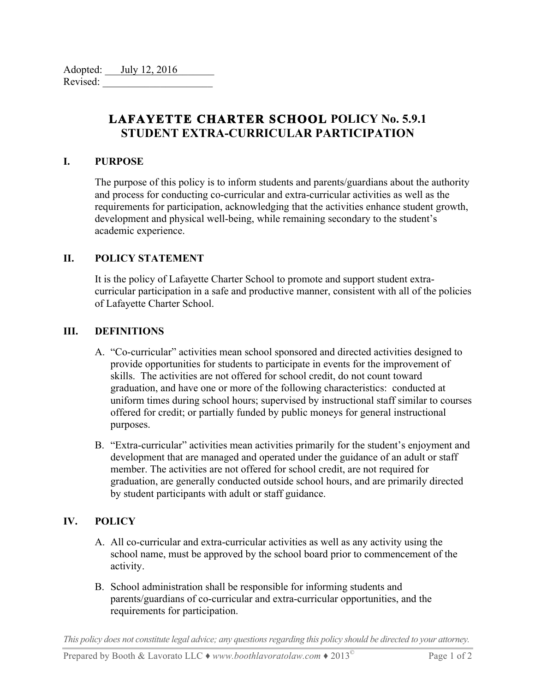| Adopted: | July 12, 2016 |
|----------|---------------|
| Revised: |               |

# **LAFAYETTE CHARTER SCHOOL POLICY No. 5.9.1 STUDENT EXTRA-CURRICULAR PARTICIPATION**

### **I. PURPOSE**

The purpose of this policy is to inform students and parents/guardians about the authority and process for conducting co-curricular and extra-curricular activities as well as the requirements for participation, acknowledging that the activities enhance student growth, development and physical well-being, while remaining secondary to the student's academic experience.

## **II. POLICY STATEMENT**

It is the policy of Lafayette Charter School to promote and support student extracurricular participation in a safe and productive manner, consistent with all of the policies of Lafayette Charter School.

## **III. DEFINITIONS**

- A. "Co-curricular" activities mean school sponsored and directed activities designed to provide opportunities for students to participate in events for the improvement of skills. The activities are not offered for school credit, do not count toward graduation, and have one or more of the following characteristics: conducted at uniform times during school hours; supervised by instructional staff similar to courses offered for credit; or partially funded by public moneys for general instructional purposes.
- B. "Extra-curricular" activities mean activities primarily for the student's enjoyment and development that are managed and operated under the guidance of an adult or staff member. The activities are not offered for school credit, are not required for graduation, are generally conducted outside school hours, and are primarily directed by student participants with adult or staff guidance.

## **IV. POLICY**

- A. All co-curricular and extra-curricular activities as well as any activity using the school name, must be approved by the school board prior to commencement of the activity.
- B. School administration shall be responsible for informing students and parents/guardians of co-curricular and extra-curricular opportunities, and the requirements for participation.

*This policy does not constitute legal advice; any questions regarding this policy should be directed to your attorney.*